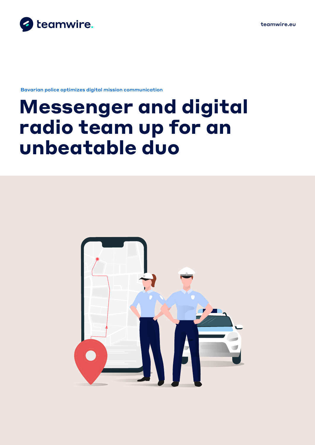

Bavarian police optimizes digital mission communication

# **Messenger and digital radio team up for an unbeatable duo**

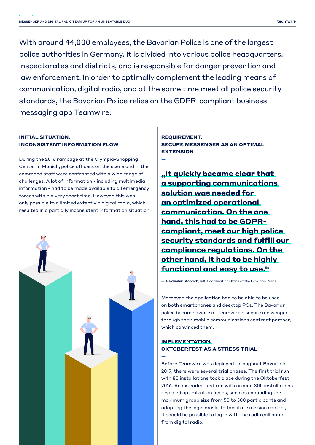With around 44,000 employees, the Bavarian Police is one of the largest police authorities in Germany. It is divided into various police headquarters, inspectorates and districts, and is responsible for danger prevention and law enforcement. In order to optimally complement the leading means of communication, digital radio, and at the same time meet all police security standards, the Bavarian Police relies on the GDPR-compliant business messaging app Teamwire.

—

—

### **INITIAL SITUATION. INCONSISTENT INFORMATION FLOW**

—

During the 2016 rampage at the Olympia-Shopping Center in Munich, police officers on the scene and in the command staff were confronted with a wide range of challenges. A lot of information - including multimedia information - had to be made available to all emergency forces within a very short time. However, this was only possible to a limited extent via digital radio, which resulted in a partially inconsistent information situation.



**REQUIREMENT. SECURE MESSENGER AS AN OPTIMAL EXTENSION**

**"It quickly became clear that a supporting communications solution was needed for an optimized operational communication. On the one hand, this had to be GDPRcompliant, meet our high police security standards and fulfill our compliance regulations. On the other hand, it had to be highly functional and easy to use."**

**— Alexander Stöbrich,** IuK-Coordination Office of the Bavarian Police

Moreover, the application had to be able to be used on both smartphones and desktop PCs. The Bavarian police became aware of Teamwire's secure messenger through their mobile communications contract partner, which convinced them.

#### **IMPLEMENTATION. OKTOBERFEST AS A STRESS TRIAL**

Before Teamwire was deployed throughout Bavaria in 2017, there were several trial phases. The first trial run with 80 installations took place during the Oktoberfest 2016. An extended test run with around 300 installations revealed optimization needs, such as expanding the maximum group size from 50 to 300 participants and adapting the login mask. To facilitate mission control, it should be possible to log in with the radio call name from digital radio.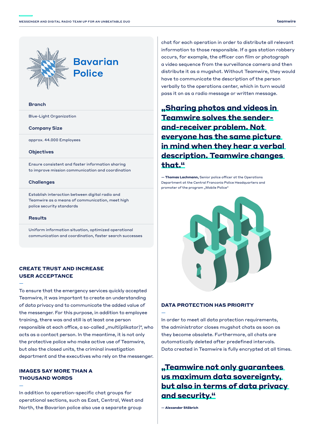

#### Branch

Blue-Light Organization

#### Company Size

approx. 44.000 Employees

#### **Objectives**

Ensure consistent and faster information sharing to improve mission communication and coordination

#### **Challenges**

Establish interaction between digital radio and Teamwire as a means of communication, meet high police security standards

#### **Results**

—

—

Uniform information situation, optimized operational communication and coordination, faster search successes

#### **CREATE TRUST AND INCREASE USER ACCEPTANCE**

To ensure that the emergency services quickly accepted Teamwire, it was important to create an understanding of data privacy and to communicate the added value of the messenger. For this purpose, in addition to employee training, there was and still is at least one person responsible at each office, a so-called "multi(plikator)", who acts as a contact person. In the meantime, it is not only the protective police who make active use of Teamwire, but also the closed units, the criminal investigation department and the executives who rely on the messenger.

#### **IMAGES SAY MORE THAN A THOUSAND WORDS**

In addition to operation-specific chat groups for operational sections, such as East, Central, West and North, the Bavarian police also use a separate group

chat for each operation in order to distribute all relevant information to those responsible. If a gas station robbery occurs, for example, the officer can film or photograph a video sequence from the surveillance camera and then distribute it as a mugshot. Without Teamwire, they would have to communicate the description of the person verbally to the operations center, which in turn would pass it on as a radio message or written message.

**"Sharing photos and videos in Teamwire solves the senderand-receiver problem. Not everyone has the same picture in mind when they hear a verbal description. Teamwire changes that."**

**— Thomas Lachmann,** Senior police officer at the Operations Department at the Central Franconia Police Headquarters and promoter of the program "Mobile Police"



#### **DATA PROTECTION HAS PRIORITY**

In order to meet all data protection requirements, the administrator closes mugshot chats as soon as they become obsolete. Furthermore, all chats are automatically deleted after predefined intervals. Data created in Teamwire is fully encrypted at all times.

## **"Teamwire not only guarantees us maximum data sovereignty, but also in terms of data privacy and security."**

**— Alexander Stöbrich**

—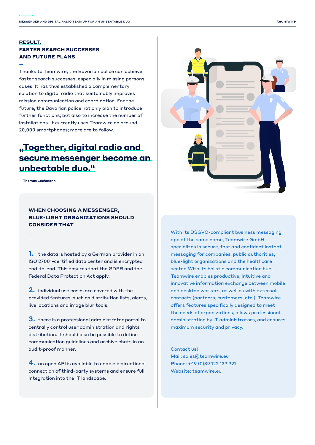### **RESULT. FASTER SEARCH SUCCESSES AND FUTURE PLANS**

Thanks to Teamwire, the Bavarian police can achieve faster search successes, especially in missing persons cases. It has thus established a complementary solution to digital radio that sustainably improves mission communication and coordination. For the future, the Bavarian police not only plan to introduce further functions, but also to increase the number of installations. It currently uses Teamwire on around 20,000 smartphones; more are to follow.

# **"Together, digital radio and secure messenger become an unbeatable duo."**

**— Thomas Lachmann**

—

—

#### **WHEN CHOOSING A MESSENGER, BLUE-LIGHT ORGANIZATIONS SHOULD CONSIDER THAT**

**1.** the data is hosted by a German provider in an ISO 27001-certified data center and is encrypted end-to-end. This ensures that the GDPR and the Federal Data Protection Act apply.

2. individual use cases are covered with the provided features, such as distribution lists, alerts, live locations and image blur tools.

3. there is a professional administrator portal to centrally control user administration and rights distribution. It should also be possible to define communication guidelines and archive chats in an audit-proof manner.

4. an open API is available to enable bidirectional connection of third-party systems and ensure full integration into the IT landscape.



With its DSGVO-compliant business messaging app of the same name, Teamwire GmbH specializes in secure, fast and confident instant messaging for companies, public authorities, blue-light organizations and the healthcare sector. With its holistic communication hub, Teamwire enables productive, intuitive and innovative information exchange between mobile and desktop workers, as well as with external contacts (partners, customers, etc.). Teamwire offers features specifically designed to meet the needs of organizations, allows professional administration by IT administrators, and ensures maximum security and privacy.

Contact us! Mail: sales@teamwire.eu Phone: +49 (0)89 122 129 921 Website: teamwire.eu